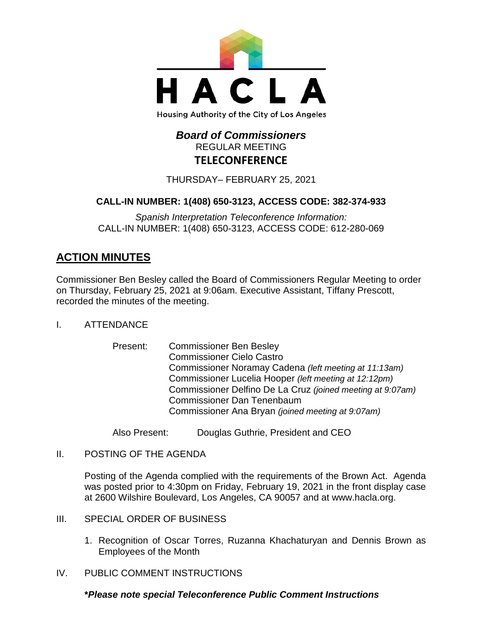

# *Board of Commissioners* REGULAR MEETING **TELECONFERENCE**

THURSDAY– FEBRUARY 25, 2021

## **CALL-IN NUMBER: 1(408) 650-3123, ACCESS CODE: 382-374-933**

*Spanish Interpretation Teleconference Information:* CALL-IN NUMBER: 1(408) 650-3123, ACCESS CODE: 612-280-069

# **ACTION MINUTES**

Commissioner Ben Besley called the Board of Commissioners Regular Meeting to order on Thursday, February 25, 2021 at 9:06am. Executive Assistant, Tiffany Prescott, recorded the minutes of the meeting.

- I. ATTENDANCE
	- Present: Commissioner Ben Besley Commissioner Cielo Castro Commissioner Noramay Cadena *(left meeting at 11:13am)* Commissioner Lucelia Hooper *(left meeting at 12:12pm)* Commissioner Delfino De La Cruz *(joined meeting at 9:07am)* Commissioner Dan Tenenbaum Commissioner Ana Bryan *(joined meeting at 9:07am)*

Also Present: Douglas Guthrie, President and CEO

II. POSTING OF THE AGENDA

Posting of the Agenda complied with the requirements of the Brown Act. Agenda was posted prior to 4:30pm on Friday, February 19, 2021 in the front display case at 2600 Wilshire Boulevard, Los Angeles, CA 90057 and at [www.hacla.org.](http://www.hacla.org/)

- III. SPECIAL ORDER OF BUSINESS
	- 1. Recognition of Oscar Torres, Ruzanna Khachaturyan and Dennis Brown as Employees of the Month
- IV. PUBLIC COMMENT INSTRUCTIONS

#### **\****Please note special Teleconference Public Comment Instructions*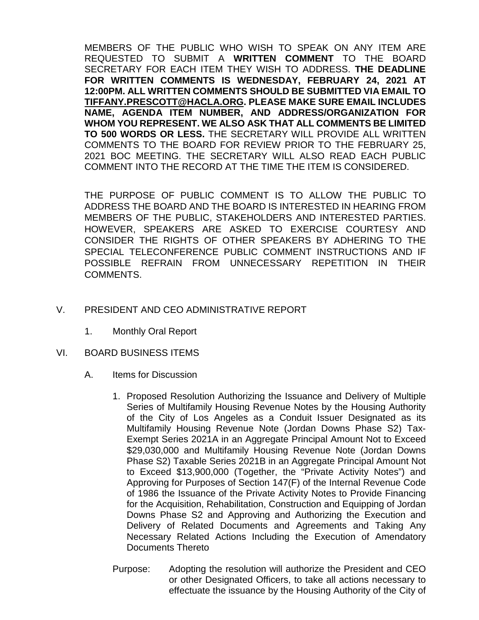MEMBERS OF THE PUBLIC WHO WISH TO SPEAK ON ANY ITEM ARE REQUESTED TO SUBMIT A **WRITTEN COMMENT** TO THE BOARD SECRETARY FOR EACH ITEM THEY WISH TO ADDRESS. **THE DEADLINE FOR WRITTEN COMMENTS IS WEDNESDAY, FEBRUARY 24, 2021 AT 12:00PM. ALL WRITTEN COMMENTS SHOULD BE SUBMITTED VIA EMAIL TO [TIFFANY.PRESCOTT@HACLA.ORG.](mailto:TIFFANY.PRESCOTT@HACLA.ORG) PLEASE MAKE SURE EMAIL INCLUDES NAME, AGENDA ITEM NUMBER, AND ADDRESS/ORGANIZATION FOR WHOM YOU REPRESENT. WE ALSO ASK THAT ALL COMMENTS BE LIMITED TO 500 WORDS OR LESS.** THE SECRETARY WILL PROVIDE ALL WRITTEN COMMENTS TO THE BOARD FOR REVIEW PRIOR TO THE FEBRUARY 25, 2021 BOC MEETING. THE SECRETARY WILL ALSO READ EACH PUBLIC COMMENT INTO THE RECORD AT THE TIME THE ITEM IS CONSIDERED.

THE PURPOSE OF PUBLIC COMMENT IS TO ALLOW THE PUBLIC TO ADDRESS THE BOARD AND THE BOARD IS INTERESTED IN HEARING FROM MEMBERS OF THE PUBLIC, STAKEHOLDERS AND INTERESTED PARTIES. HOWEVER, SPEAKERS ARE ASKED TO EXERCISE COURTESY AND CONSIDER THE RIGHTS OF OTHER SPEAKERS BY ADHERING TO THE SPECIAL TELECONFERENCE PUBLIC COMMENT INSTRUCTIONS AND IF POSSIBLE REFRAIN FROM UNNECESSARY REPETITION IN THEIR COMMENTS.

## V. PRESIDENT AND CEO ADMINISTRATIVE REPORT

- 1. Monthly Oral Report
- VI. BOARD BUSINESS ITEMS
	- A. Items for Discussion
		- 1. Proposed Resolution Authorizing the Issuance and Delivery of Multiple Series of Multifamily Housing Revenue Notes by the Housing Authority of the City of Los Angeles as a Conduit Issuer Designated as its Multifamily Housing Revenue Note (Jordan Downs Phase S2) Tax-Exempt Series 2021A in an Aggregate Principal Amount Not to Exceed \$29,030,000 and Multifamily Housing Revenue Note (Jordan Downs Phase S2) Taxable Series 2021B in an Aggregate Principal Amount Not to Exceed \$13,900,000 (Together, the "Private Activity Notes") and Approving for Purposes of Section 147(F) of the Internal Revenue Code of 1986 the Issuance of the Private Activity Notes to Provide Financing for the Acquisition, Rehabilitation, Construction and Equipping of Jordan Downs Phase S2 and Approving and Authorizing the Execution and Delivery of Related Documents and Agreements and Taking Any Necessary Related Actions Including the Execution of Amendatory Documents Thereto
		- Purpose: Adopting the resolution will authorize the President and CEO or other Designated Officers, to take all actions necessary to effectuate the issuance by the Housing Authority of the City of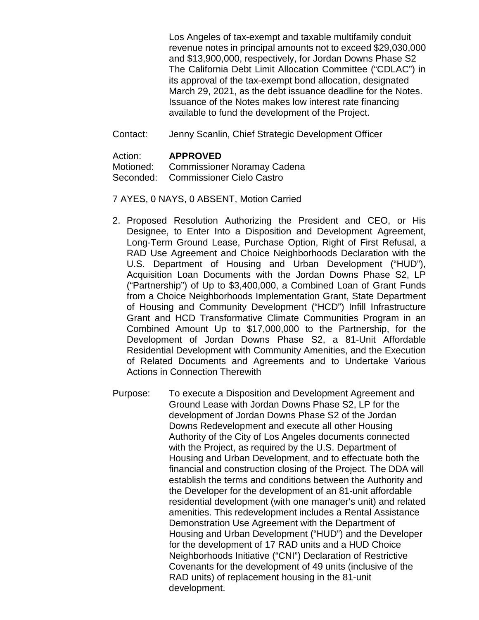Los Angeles of tax-exempt and taxable multifamily conduit revenue notes in principal amounts not to exceed \$29,030,000 and \$13,900,000, respectively, for Jordan Downs Phase S2 The California Debt Limit Allocation Committee ("CDLAC") in its approval of the tax-exempt bond allocation, designated March 29, 2021, as the debt issuance deadline for the Notes. Issuance of the Notes makes low interest rate financing available to fund the development of the Project.

Contact: Jenny Scanlin, Chief Strategic Development Officer

#### Action: **APPROVED**

Motioned: Commissioner Noramay Cadena Seconded: Commissioner Cielo Castro

- 7 AYES, 0 NAYS, 0 ABSENT, Motion Carried
- 2. Proposed Resolution Authorizing the President and CEO, or His Designee, to Enter Into a Disposition and Development Agreement, Long-Term Ground Lease, Purchase Option, Right of First Refusal, a RAD Use Agreement and Choice Neighborhoods Declaration with the U.S. Department of Housing and Urban Development ("HUD"), Acquisition Loan Documents with the Jordan Downs Phase S2, LP ("Partnership") of Up to \$3,400,000, a Combined Loan of Grant Funds from a Choice Neighborhoods Implementation Grant, State Department of Housing and Community Development ("HCD") Infill Infrastructure Grant and HCD Transformative Climate Communities Program in an Combined Amount Up to \$17,000,000 to the Partnership, for the Development of Jordan Downs Phase S2, a 81-Unit Affordable Residential Development with Community Amenities, and the Execution of Related Documents and Agreements and to Undertake Various Actions in Connection Therewith
- Purpose: To execute a Disposition and Development Agreement and Ground Lease with Jordan Downs Phase S2, LP for the development of Jordan Downs Phase S2 of the Jordan Downs Redevelopment and execute all other Housing Authority of the City of Los Angeles documents connected with the Project, as required by the U.S. Department of Housing and Urban Development, and to effectuate both the financial and construction closing of the Project. The DDA will establish the terms and conditions between the Authority and the Developer for the development of an 81-unit affordable residential development (with one manager's unit) and related amenities. This redevelopment includes a Rental Assistance Demonstration Use Agreement with the Department of Housing and Urban Development ("HUD") and the Developer for the development of 17 RAD units and a HUD Choice Neighborhoods Initiative ("CNI") Declaration of Restrictive Covenants for the development of 49 units (inclusive of the RAD units) of replacement housing in the 81-unit development.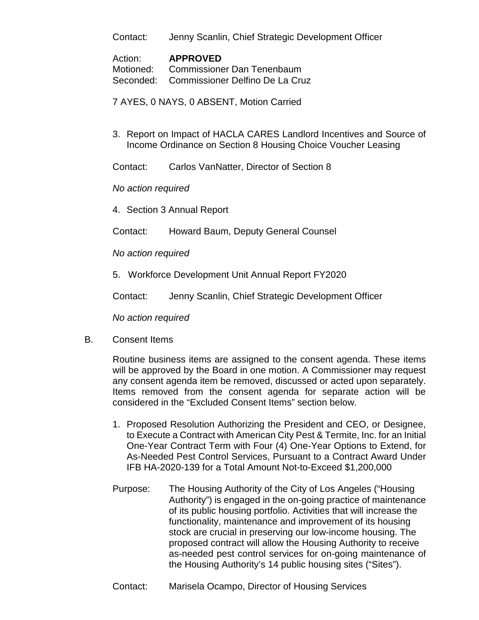Contact: Jenny Scanlin, Chief Strategic Development Officer

#### Action: **APPROVED**

Motioned: Commissioner Dan Tenenbaum Seconded: Commissioner Delfino De La Cruz

7 AYES, 0 NAYS, 0 ABSENT, Motion Carried

3. Report on Impact of HACLA CARES Landlord Incentives and Source of Income Ordinance on Section 8 Housing Choice Voucher Leasing

Contact: Carlos VanNatter, Director of Section 8

*No action required*

4. Section 3 Annual Report

Contact: Howard Baum, Deputy General Counsel

*No action required*

5. Workforce Development Unit Annual Report FY2020

Contact: Jenny Scanlin, Chief Strategic Development Officer

*No action required*

B. Consent Items

Routine business items are assigned to the consent agenda. These items will be approved by the Board in one motion. A Commissioner may request any consent agenda item be removed, discussed or acted upon separately. Items removed from the consent agenda for separate action will be considered in the "Excluded Consent Items" section below.

- 1. Proposed Resolution Authorizing the President and CEO, or Designee, to Execute a Contract with American City Pest & Termite, Inc. for an Initial One-Year Contract Term with Four (4) One-Year Options to Extend, for As-Needed Pest Control Services, Pursuant to a Contract Award Under IFB HA-2020-139 for a Total Amount Not-to-Exceed \$1,200,000
- Purpose: The Housing Authority of the City of Los Angeles ("Housing Authority") is engaged in the on-going practice of maintenance of its public housing portfolio. Activities that will increase the functionality, maintenance and improvement of its housing stock are crucial in preserving our low-income housing. The proposed contract will allow the Housing Authority to receive as-needed pest control services for on-going maintenance of the Housing Authority's 14 public housing sites ("Sites").
- Contact: Marisela Ocampo, Director of Housing Services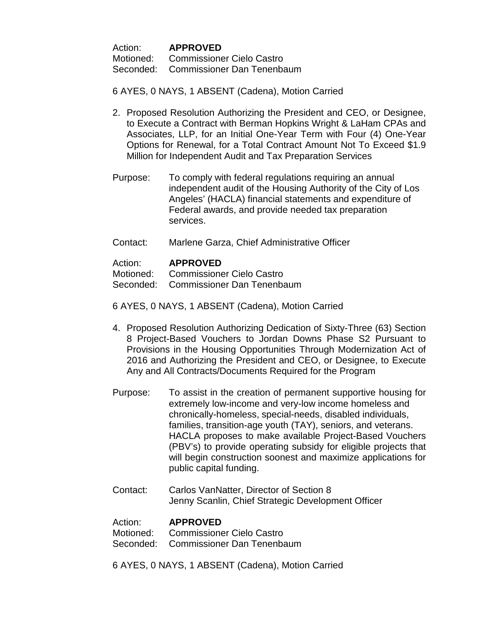Action: **APPROVED** Motioned: Commissioner Cielo Castro Seconded: Commissioner Dan Tenenbaum

6 AYES, 0 NAYS, 1 ABSENT (Cadena), Motion Carried

- 2. Proposed Resolution Authorizing the President and CEO, or Designee, to Execute a Contract with Berman Hopkins Wright & LaHam CPAs and Associates, LLP, for an Initial One-Year Term with Four (4) One-Year Options for Renewal, for a Total Contract Amount Not To Exceed \$1.9 Million for Independent Audit and Tax Preparation Services
- Purpose: To comply with federal regulations requiring an annual independent audit of the Housing Authority of the City of Los Angeles' (HACLA) financial statements and expenditure of Federal awards, and provide needed tax preparation services.
- Contact: Marlene Garza, Chief Administrative Officer

#### Action: **APPROVED**

Motioned: Commissioner Cielo Castro

Seconded: Commissioner Dan Tenenbaum

6 AYES, 0 NAYS, 1 ABSENT (Cadena), Motion Carried

- 4. Proposed Resolution Authorizing Dedication of Sixty-Three (63) Section 8 Project-Based Vouchers to Jordan Downs Phase S2 Pursuant to Provisions in the Housing Opportunities Through Modernization Act of 2016 and Authorizing the President and CEO, or Designee, to Execute Any and All Contracts/Documents Required for the Program
- Purpose: To assist in the creation of permanent supportive housing for extremely low-income and very-low income homeless and chronically-homeless, special-needs, disabled individuals, families, transition-age youth (TAY), seniors, and veterans. HACLA proposes to make available Project-Based Vouchers (PBV's) to provide operating subsidy for eligible projects that will begin construction soonest and maximize applications for public capital funding.
- Contact: Carlos VanNatter, Director of Section 8 Jenny Scanlin, Chief Strategic Development Officer

Action: **APPROVED**<br>Motioned: Commissione Commissioner Cielo Castro Seconded: Commissioner Dan Tenenbaum

6 AYES, 0 NAYS, 1 ABSENT (Cadena), Motion Carried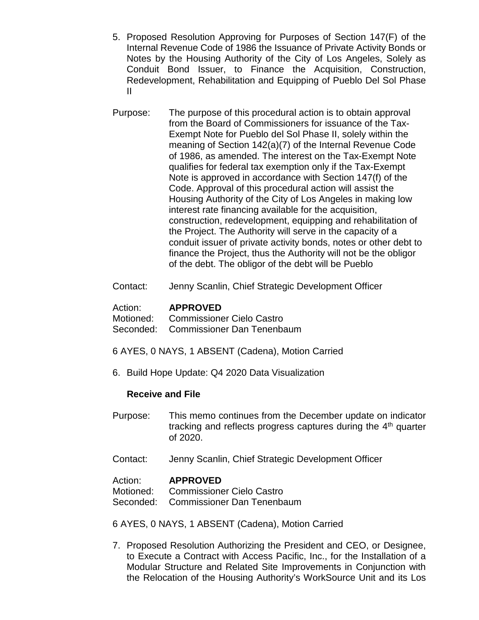- 5. Proposed Resolution Approving for Purposes of Section 147(F) of the Internal Revenue Code of 1986 the Issuance of Private Activity Bonds or Notes by the Housing Authority of the City of Los Angeles, Solely as Conduit Bond Issuer, to Finance the Acquisition, Construction, Redevelopment, Rehabilitation and Equipping of Pueblo Del Sol Phase II
- Purpose: The purpose of this procedural action is to obtain approval from the Board of Commissioners for issuance of the Tax-Exempt Note for Pueblo del Sol Phase II, solely within the meaning of Section 142(a)(7) of the Internal Revenue Code of 1986, as amended. The interest on the Tax-Exempt Note qualifies for federal tax exemption only if the Tax-Exempt Note is approved in accordance with Section 147(f) of the Code. Approval of this procedural action will assist the Housing Authority of the City of Los Angeles in making low interest rate financing available for the acquisition, construction, redevelopment, equipping and rehabilitation of the Project. The Authority will serve in the capacity of a conduit issuer of private activity bonds, notes or other debt to finance the Project, thus the Authority will not be the obligor of the debt. The obligor of the debt will be Pueblo
- Contact: Jenny Scanlin, Chief Strategic Development Officer

| Action: | <b>APPROVED</b>                      |
|---------|--------------------------------------|
|         | Motioned: Commissioner Cielo Castro  |
|         | Seconded: Commissioner Dan Tenenbaum |

- 6 AYES, 0 NAYS, 1 ABSENT (Cadena), Motion Carried
- 6. Build Hope Update: Q4 2020 Data Visualization

## **Receive and File**

- Purpose: This memo continues from the December update on indicator tracking and reflects progress captures during the 4th quarter of 2020.
- Contact: Jenny Scanlin, Chief Strategic Development Officer

#### Action: **APPROVED**

Motioned: Commissioner Cielo Castro

Seconded: Commissioner Dan Tenenbaum

6 AYES, 0 NAYS, 1 ABSENT (Cadena), Motion Carried

7. Proposed Resolution Authorizing the President and CEO, or Designee, to Execute a Contract with Access Pacific, Inc., for the Installation of a Modular Structure and Related Site Improvements in Conjunction with the Relocation of the Housing Authority's WorkSource Unit and its Los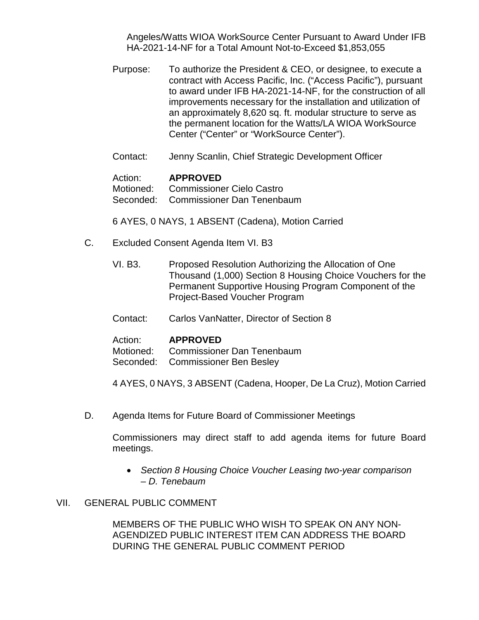Angeles/Watts WIOA WorkSource Center Pursuant to Award Under IFB HA-2021-14-NF for a Total Amount Not-to-Exceed \$1,853,055

Purpose: To authorize the President & CEO, or designee, to execute a contract with Access Pacific, Inc. ("Access Pacific"), pursuant to award under IFB HA-2021-14-NF, for the construction of all improvements necessary for the installation and utilization of an approximately 8,620 sq. ft. modular structure to serve as the permanent location for the Watts/LA WIOA WorkSource Center ("Center" or "WorkSource Center").

Contact: Jenny Scanlin, Chief Strategic Development Officer

#### Action: **APPROVED**

Motioned: Commissioner Cielo Castro Seconded: Commissioner Dan Tenenbaum

6 AYES, 0 NAYS, 1 ABSENT (Cadena), Motion Carried

- C. Excluded Consent Agenda Item VI. B3
	- VI. B3. Proposed Resolution Authorizing the Allocation of One Thousand (1,000) Section 8 Housing Choice Vouchers for the Permanent Supportive Housing Program Component of the Project-Based Voucher Program
	- Contact: Carlos VanNatter, Director of Section 8

# Action: **APPROVED**<br>Motioned: Commissione

Commissioner Dan Tenenbaum Seconded: Commissioner Ben Besley

4 AYES, 0 NAYS, 3 ABSENT (Cadena, Hooper, De La Cruz), Motion Carried

D. Agenda Items for Future Board of Commissioner Meetings

Commissioners may direct staff to add agenda items for future Board meetings.

• *Section 8 Housing Choice Voucher Leasing two-year comparison – D. Tenebaum*

## VII. GENERAL PUBLIC COMMENT

MEMBERS OF THE PUBLIC WHO WISH TO SPEAK ON ANY NON-AGENDIZED PUBLIC INTEREST ITEM CAN ADDRESS THE BOARD DURING THE GENERAL PUBLIC COMMENT PERIOD